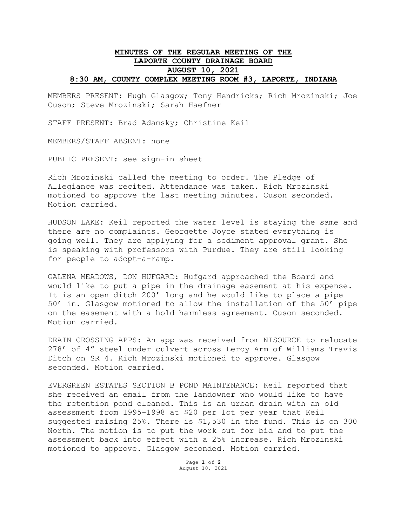## **MINUTES OF THE REGULAR MEETING OF THE LAPORTE COUNTY DRAINAGE BOARD AUGUST 10, 2021 8:30 AM, COUNTY COMPLEX MEETING ROOM #3, LAPORTE, INDIANA**

MEMBERS PRESENT: Hugh Glasgow; Tony Hendricks; Rich Mrozinski; Joe Cuson; Steve Mrozinski; Sarah Haefner

STAFF PRESENT: Brad Adamsky; Christine Keil

MEMBERS/STAFF ABSENT: none

PUBLIC PRESENT: see sign-in sheet

Rich Mrozinski called the meeting to order. The Pledge of Allegiance was recited. Attendance was taken. Rich Mrozinski motioned to approve the last meeting minutes. Cuson seconded. Motion carried.

HUDSON LAKE: Keil reported the water level is staying the same and there are no complaints. Georgette Joyce stated everything is going well. They are applying for a sediment approval grant. She is speaking with professors with Purdue. They are still looking for people to adopt-a-ramp.

GALENA MEADOWS, DON HUFGARD: Hufgard approached the Board and would like to put a pipe in the drainage easement at his expense. It is an open ditch 200' long and he would like to place a pipe 50' in. Glasgow motioned to allow the installation of the 50' pipe on the easement with a hold harmless agreement. Cuson seconded. Motion carried.

DRAIN CROSSING APPS: An app was received from NISOURCE to relocate 278' of 4" steel under culvert across Leroy Arm of Williams Travis Ditch on SR 4. Rich Mrozinski motioned to approve. Glasgow seconded. Motion carried.

EVERGREEN ESTATES SECTION B POND MAINTENANCE: Keil reported that she received an email from the landowner who would like to have the retention pond cleaned. This is an urban drain with an old assessment from 1995-1998 at \$20 per lot per year that Keil suggested raising 25%. There is \$1,530 in the fund. This is on 300 North. The motion is to put the work out for bid and to put the assessment back into effect with a 25% increase. Rich Mrozinski motioned to approve. Glasgow seconded. Motion carried.